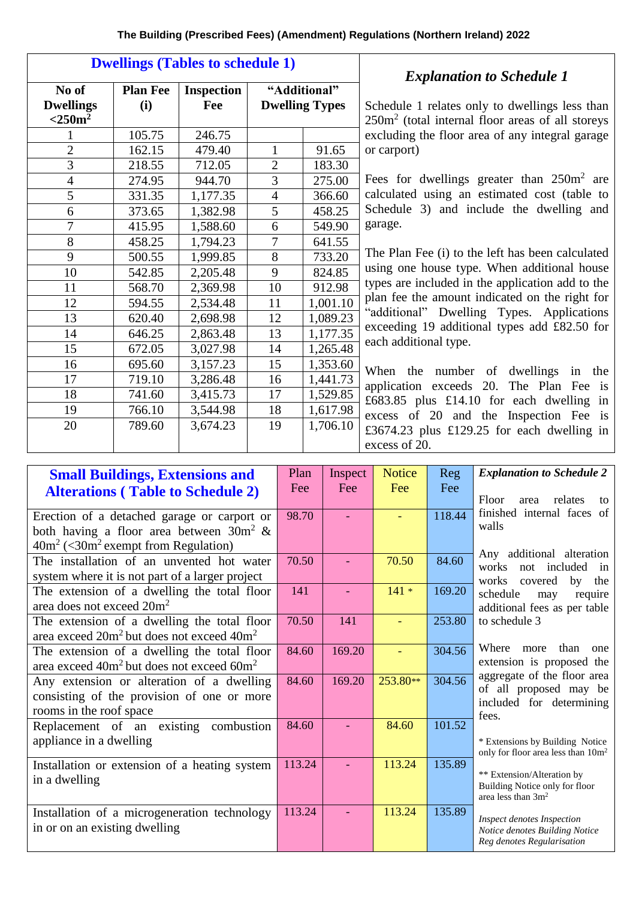| <b>Dwellings (Tables to schedule 1)</b>   |                        |                          |                                       |          |  |  |  |  |
|-------------------------------------------|------------------------|--------------------------|---------------------------------------|----------|--|--|--|--|
| No of<br><b>Dwellings</b><br>$<$ 250 $m2$ | <b>Plan Fee</b><br>(i) | <b>Inspection</b><br>Fee | "Additional"<br><b>Dwelling Types</b> |          |  |  |  |  |
| 1                                         | 105.75                 | 246.75                   |                                       |          |  |  |  |  |
| $\overline{2}$                            | 162.15                 | 479.40                   | 1                                     | 91.65    |  |  |  |  |
| $\overline{3}$                            | 218.55                 | 712.05                   | $\overline{2}$                        | 183.30   |  |  |  |  |
| $\overline{4}$                            | 274.95                 | 944.70                   | 3                                     | 275.00   |  |  |  |  |
| 5                                         | 331.35                 | 1,177.35                 | $\overline{4}$                        | 366.60   |  |  |  |  |
| 6                                         | 373.65                 | 1,382.98                 | 5                                     | 458.25   |  |  |  |  |
| $\overline{7}$                            | 415.95                 | 1,588.60                 | 6                                     | 549.90   |  |  |  |  |
| 8                                         | 458.25                 | 1,794.23                 | 7                                     | 641.55   |  |  |  |  |
| 9                                         | 500.55                 | 1,999.85                 | 8                                     | 733.20   |  |  |  |  |
| 10                                        | 542.85                 | 2,205.48                 | 9                                     | 824.85   |  |  |  |  |
| 11                                        | 568.70                 | 2,369.98                 | 10                                    | 912.98   |  |  |  |  |
| 12                                        | 594.55                 | 2,534.48                 | 11                                    | 1,001.10 |  |  |  |  |
| 13                                        | 620.40                 | 2,698.98                 | 12                                    | 1,089.23 |  |  |  |  |
| 14                                        | 646.25                 | 2,863.48                 | 13                                    | 1,177.35 |  |  |  |  |
| 15                                        | 672.05                 | 3,027.98                 | 14                                    | 1,265.48 |  |  |  |  |
| 16                                        | 695.60                 | 3,157.23                 | 15                                    | 1,353.60 |  |  |  |  |
| 17                                        | 719.10                 | 3,286.48                 | 16                                    | 1,441.73 |  |  |  |  |
| 18                                        | 741.60                 | 3,415.73                 | 17                                    | 1,529.85 |  |  |  |  |
| 19                                        | 766.10                 | 3,544.98                 | 18                                    | 1,617.98 |  |  |  |  |
| 20                                        | 789.60                 | 3,674.23                 | 19                                    | 1,706.10 |  |  |  |  |

## *Explanation to Schedule 1*

Schedule 1 relates only to dwellings less than 250m<sup>2</sup> (total internal floor areas of all storeys excluding the floor area of any integral garage or carport)

Fees for dwellings greater than  $250m^2$  are calculated using an estimated cost (table to Schedule 3) and include the dwelling and garage.

The Plan Fee (i) to the left has been calculated using one house type. When additional house types are included in the application add to the plan fee the amount indicated on the right for "additional" Dwelling Types. Applications exceeding 19 additional types add £82.50 for each additional type.

When the number of dwellings in the application exceeds 20. The Plan Fee is £683.85 plus £14.10 for each dwelling in excess of 20 and the Inspection Fee is £3674.23 plus £129.25 for each dwelling in excess of 20.

| <b>Small Buildings, Extensions and</b>             | Plan   | Inspect | <b>Notice</b> | Reg    | <b>Explanation to Schedule 2</b>                                         |  |
|----------------------------------------------------|--------|---------|---------------|--------|--------------------------------------------------------------------------|--|
| <b>Alterations (Table to Schedule 2)</b>           |        | Fee     | Fee           | Fee    | Floor<br>relates<br>area<br>to                                           |  |
| Erection of a detached garage or carport or        |        |         |               | 118.44 | finished internal faces of                                               |  |
| both having a floor area between $30m^2 \&$        |        |         |               |        | walls                                                                    |  |
| $40m^2$ (<30m <sup>2</sup> exempt from Regulation) |        |         |               |        | Any additional alteration                                                |  |
| The installation of an unvented hot water          |        |         | 70.50         | 84.60  | works<br>not included<br>in                                              |  |
| system where it is not part of a larger project    |        |         |               |        | the<br>works<br>covered<br>by                                            |  |
| The extension of a dwelling the total floor        | 141    |         | $141 *$       | 169.20 | schedule<br>require<br>may                                               |  |
| area does not exceed 20m <sup>2</sup>              |        |         |               |        | additional fees as per table                                             |  |
| The extension of a dwelling the total floor        |        | 141     |               | 253.80 | to schedule 3                                                            |  |
| area exceed $20m^2$ but does not exceed $40m^2$    |        |         |               |        |                                                                          |  |
| The extension of a dwelling the total floor        | 84.60  | 169.20  |               | 304.56 | Where<br>than<br>more<br>one                                             |  |
| area exceed $40m^2$ but does not exceed $60m^2$    |        |         |               |        | extension is proposed the                                                |  |
| Any extension or alteration of a dwelling          | 84.60  | 169.20  | 253.80**      | 304.56 | aggregate of the floor area                                              |  |
| consisting of the provision of one or more         |        |         |               |        | of all proposed may be<br>included for determining                       |  |
| rooms in the roof space                            |        |         |               |        | fees.                                                                    |  |
| Replacement of an existing combustion              | 84.60  |         | 84.60         | 101.52 |                                                                          |  |
| appliance in a dwelling                            |        |         |               |        | * Extensions by Building Notice<br>only for floor area less than $10m^2$ |  |
| Installation or extension of a heating system      | 113.24 |         | 113.24        | 135.89 |                                                                          |  |
| in a dwelling                                      |        |         |               |        | ** Extension/Alteration by<br>Building Notice only for floor             |  |
|                                                    |        |         |               |        | area less than $3m^2$                                                    |  |
| Installation of a microgeneration technology       | 113.24 |         | 113.24        | 135.89 | <b>Inspect denotes Inspection</b>                                        |  |
| in or on an existing dwelling                      |        |         |               |        | Notice denotes Building Notice                                           |  |
|                                                    |        |         |               |        | Reg denotes Regularisation                                               |  |